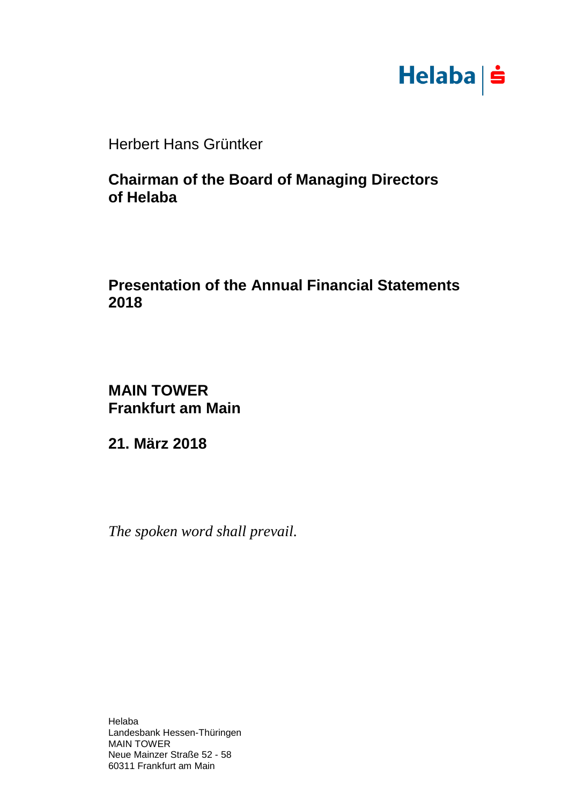

Herbert Hans Grüntker

# **Chairman of the Board of Managing Directors of Helaba**

# **Presentation of the Annual Financial Statements 2018**

**MAIN TOWER Frankfurt am Main**

**21. März 2018**

*The spoken word shall prevail.*

Helaba Landesbank Hessen-Thüringen MAIN TOWER Neue Mainzer Straße 52 - 58 60311 Frankfurt am Main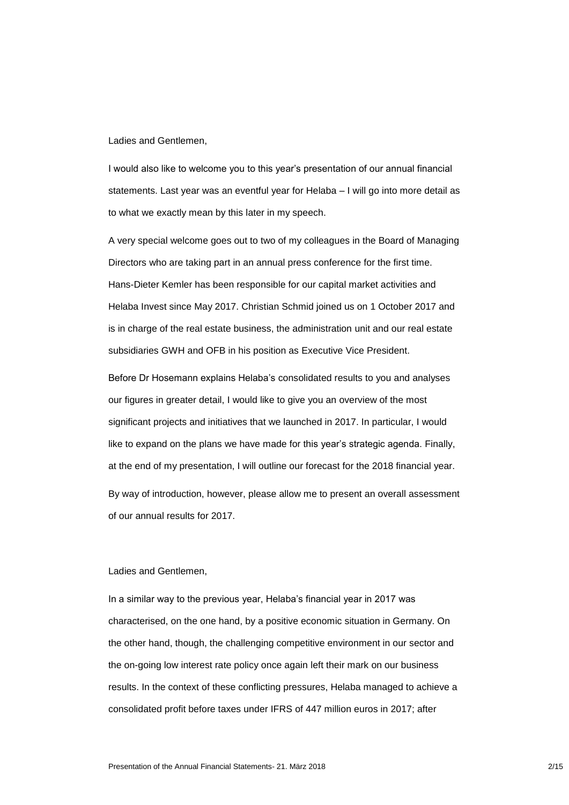Ladies and Gentlemen,

I would also like to welcome you to this year's presentation of our annual financial statements. Last year was an eventful year for Helaba – I will go into more detail as to what we exactly mean by this later in my speech.

A very special welcome goes out to two of my colleagues in the Board of Managing Directors who are taking part in an annual press conference for the first time. Hans-Dieter Kemler has been responsible for our capital market activities and Helaba Invest since May 2017. Christian Schmid joined us on 1 October 2017 and is in charge of the real estate business, the administration unit and our real estate subsidiaries GWH and OFB in his position as Executive Vice President.

Before Dr Hosemann explains Helaba's consolidated results to you and analyses our figures in greater detail, I would like to give you an overview of the most significant projects and initiatives that we launched in 2017. In particular, I would like to expand on the plans we have made for this year's strategic agenda. Finally, at the end of my presentation, I will outline our forecast for the 2018 financial year. By way of introduction, however, please allow me to present an overall assessment of our annual results for 2017.

### Ladies and Gentlemen,

In a similar way to the previous year, Helaba's financial year in 2017 was characterised, on the one hand, by a positive economic situation in Germany. On the other hand, though, the challenging competitive environment in our sector and the on-going low interest rate policy once again left their mark on our business results. In the context of these conflicting pressures, Helaba managed to achieve a consolidated profit before taxes under IFRS of 447 million euros in 2017; after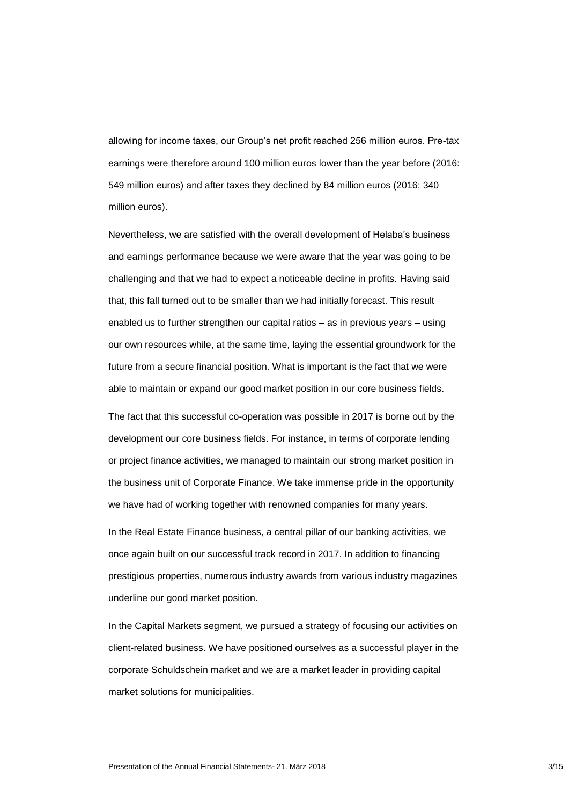allowing for income taxes, our Group's net profit reached 256 million euros. Pre-tax earnings were therefore around 100 million euros lower than the year before (2016: 549 million euros) and after taxes they declined by 84 million euros (2016: 340 million euros).

Nevertheless, we are satisfied with the overall development of Helaba's business and earnings performance because we were aware that the year was going to be challenging and that we had to expect a noticeable decline in profits. Having said that, this fall turned out to be smaller than we had initially forecast. This result enabled us to further strengthen our capital ratios – as in previous years – using our own resources while, at the same time, laying the essential groundwork for the future from a secure financial position. What is important is the fact that we were able to maintain or expand our good market position in our core business fields.

The fact that this successful co-operation was possible in 2017 is borne out by the development our core business fields. For instance, in terms of corporate lending or project finance activities, we managed to maintain our strong market position in the business unit of Corporate Finance. We take immense pride in the opportunity we have had of working together with renowned companies for many years.

In the Real Estate Finance business, a central pillar of our banking activities, we once again built on our successful track record in 2017. In addition to financing prestigious properties, numerous industry awards from various industry magazines underline our good market position.

In the Capital Markets segment, we pursued a strategy of focusing our activities on client-related business. We have positioned ourselves as a successful player in the corporate Schuldschein market and we are a market leader in providing capital market solutions for municipalities.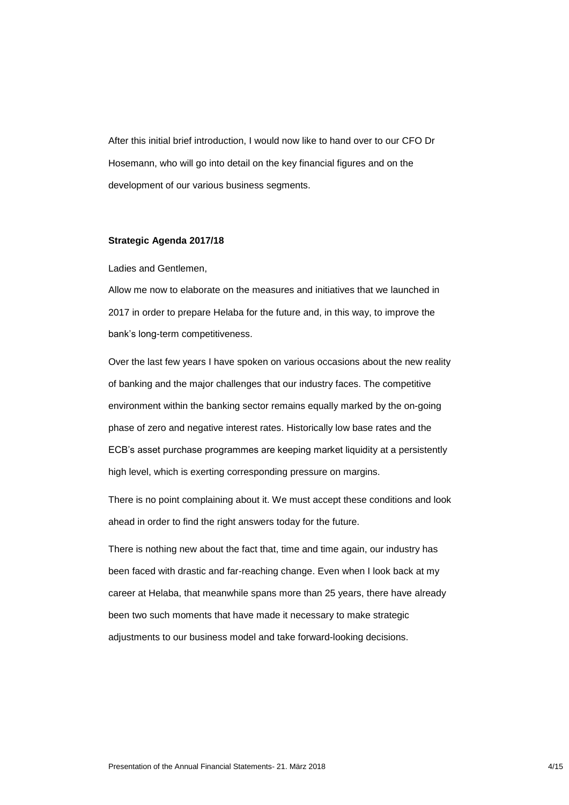After this initial brief introduction, I would now like to hand over to our CFO Dr Hosemann, who will go into detail on the key financial figures and on the development of our various business segments.

#### **Strategic Agenda 2017/18**

Ladies and Gentlemen,

Allow me now to elaborate on the measures and initiatives that we launched in 2017 in order to prepare Helaba for the future and, in this way, to improve the bank's long-term competitiveness.

Over the last few years I have spoken on various occasions about the new reality of banking and the major challenges that our industry faces. The competitive environment within the banking sector remains equally marked by the on-going phase of zero and negative interest rates. Historically low base rates and the ECB's asset purchase programmes are keeping market liquidity at a persistently high level, which is exerting corresponding pressure on margins.

There is no point complaining about it. We must accept these conditions and look ahead in order to find the right answers today for the future.

There is nothing new about the fact that, time and time again, our industry has been faced with drastic and far-reaching change. Even when I look back at my career at Helaba, that meanwhile spans more than 25 years, there have already been two such moments that have made it necessary to make strategic adjustments to our business model and take forward-looking decisions.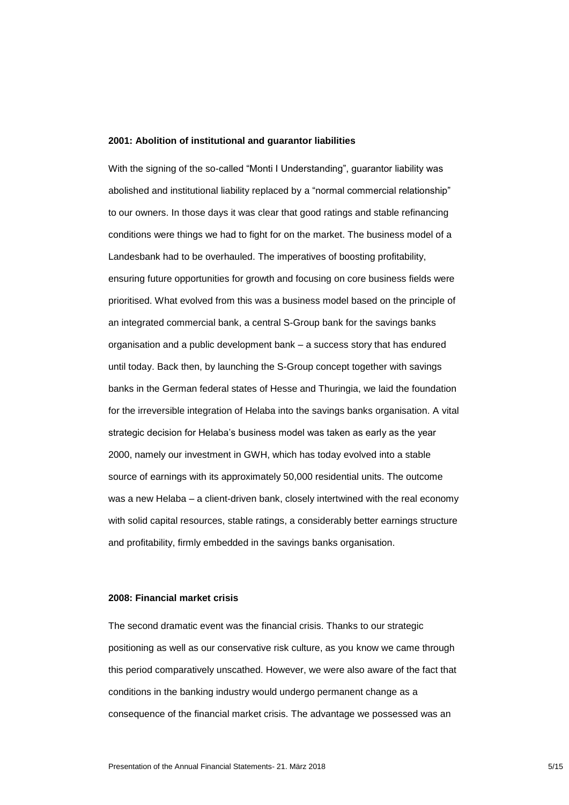#### **2001: Abolition of institutional and guarantor liabilities**

With the signing of the so-called "Monti I Understanding", guarantor liability was abolished and institutional liability replaced by a "normal commercial relationship" to our owners. In those days it was clear that good ratings and stable refinancing conditions were things we had to fight for on the market. The business model of a Landesbank had to be overhauled. The imperatives of boosting profitability, ensuring future opportunities for growth and focusing on core business fields were prioritised. What evolved from this was a business model based on the principle of an integrated commercial bank, a central S-Group bank for the savings banks organisation and a public development bank – a success story that has endured until today. Back then, by launching the S-Group concept together with savings banks in the German federal states of Hesse and Thuringia, we laid the foundation for the irreversible integration of Helaba into the savings banks organisation. A vital strategic decision for Helaba's business model was taken as early as the year 2000, namely our investment in GWH, which has today evolved into a stable source of earnings with its approximately 50,000 residential units. The outcome was a new Helaba – a client-driven bank, closely intertwined with the real economy with solid capital resources, stable ratings, a considerably better earnings structure and profitability, firmly embedded in the savings banks organisation.

#### **2008: Financial market crisis**

The second dramatic event was the financial crisis. Thanks to our strategic positioning as well as our conservative risk culture, as you know we came through this period comparatively unscathed. However, we were also aware of the fact that conditions in the banking industry would undergo permanent change as a consequence of the financial market crisis. The advantage we possessed was an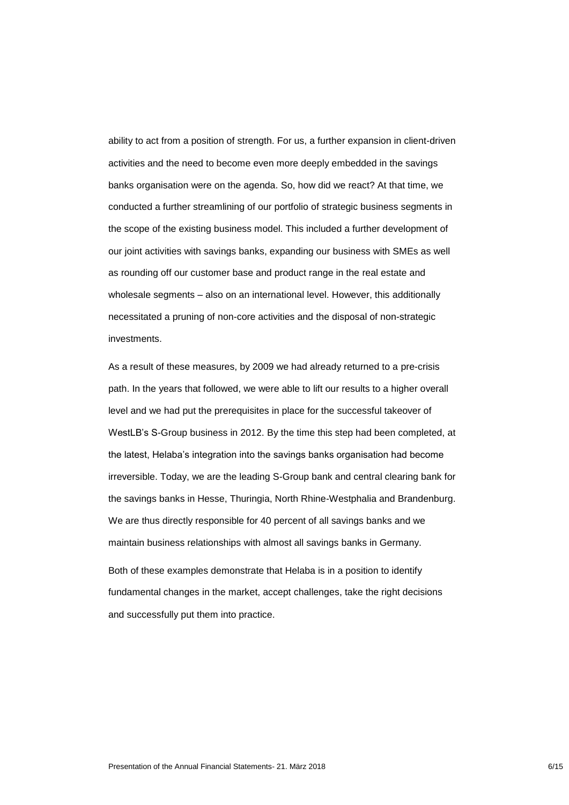ability to act from a position of strength. For us, a further expansion in client-driven activities and the need to become even more deeply embedded in the savings banks organisation were on the agenda. So, how did we react? At that time, we conducted a further streamlining of our portfolio of strategic business segments in the scope of the existing business model. This included a further development of our joint activities with savings banks, expanding our business with SMEs as well as rounding off our customer base and product range in the real estate and wholesale segments – also on an international level. However, this additionally necessitated a pruning of non-core activities and the disposal of non-strategic investments.

As a result of these measures, by 2009 we had already returned to a pre-crisis path. In the years that followed, we were able to lift our results to a higher overall level and we had put the prerequisites in place for the successful takeover of WestLB's S-Group business in 2012. By the time this step had been completed, at the latest, Helaba's integration into the savings banks organisation had become irreversible. Today, we are the leading S-Group bank and central clearing bank for the savings banks in Hesse, Thuringia, North Rhine-Westphalia and Brandenburg. We are thus directly responsible for 40 percent of all savings banks and we maintain business relationships with almost all savings banks in Germany.

Both of these examples demonstrate that Helaba is in a position to identify fundamental changes in the market, accept challenges, take the right decisions and successfully put them into practice.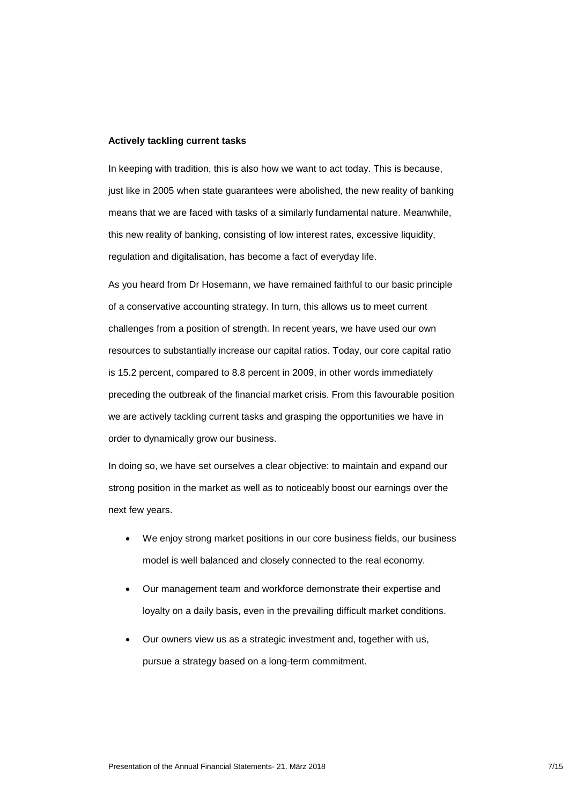#### **Actively tackling current tasks**

In keeping with tradition, this is also how we want to act today. This is because, just like in 2005 when state guarantees were abolished, the new reality of banking means that we are faced with tasks of a similarly fundamental nature. Meanwhile, this new reality of banking, consisting of low interest rates, excessive liquidity, regulation and digitalisation, has become a fact of everyday life.

As you heard from Dr Hosemann, we have remained faithful to our basic principle of a conservative accounting strategy. In turn, this allows us to meet current challenges from a position of strength. In recent years, we have used our own resources to substantially increase our capital ratios. Today, our core capital ratio is 15.2 percent, compared to 8.8 percent in 2009, in other words immediately preceding the outbreak of the financial market crisis. From this favourable position we are actively tackling current tasks and grasping the opportunities we have in order to dynamically grow our business.

In doing so, we have set ourselves a clear objective: to maintain and expand our strong position in the market as well as to noticeably boost our earnings over the next few years.

- We enjoy strong market positions in our core business fields, our business model is well balanced and closely connected to the real economy.
- Our management team and workforce demonstrate their expertise and loyalty on a daily basis, even in the prevailing difficult market conditions.
- Our owners view us as a strategic investment and, together with us, pursue a strategy based on a long-term commitment.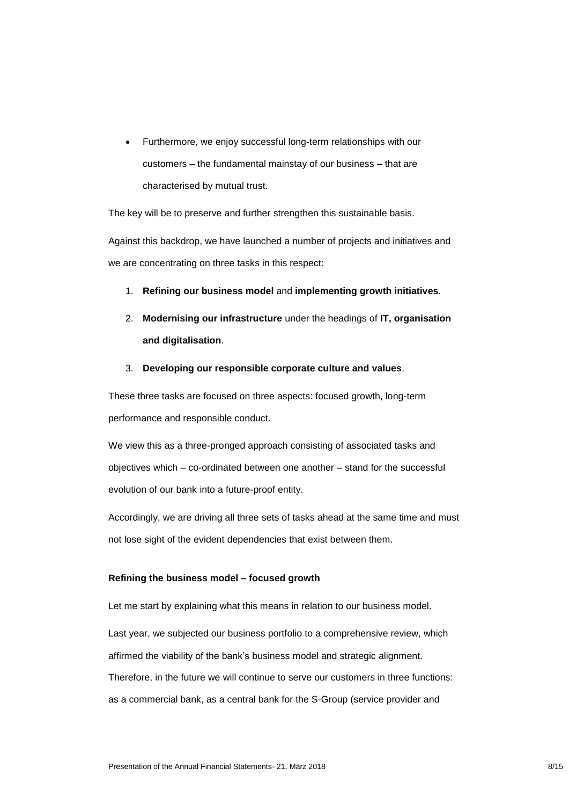Furthermore, we enjoy successful long-term relationships with our customers – the fundamental mainstay of our business – that are characterised by mutual trust.

The key will be to preserve and further strengthen this sustainable basis.

Against this backdrop, we have launched a number of projects and initiatives and we are concentrating on three tasks in this respect:

- 1. **Refining our business model** and **implementing growth initiatives**.
- 2. **Modernising our infrastructure** under the headings of **IT, organisation and digitalisation**.
- 3. **Developing our responsible corporate culture and values**.

These three tasks are focused on three aspects: focused growth, long-term performance and responsible conduct.

We view this as a three-pronged approach consisting of associated tasks and objectives which – co-ordinated between one another – stand for the successful evolution of our bank into a future-proof entity.

Accordingly, we are driving all three sets of tasks ahead at the same time and must not lose sight of the evident dependencies that exist between them.

## **Refining the business model – focused growth**

Let me start by explaining what this means in relation to our business model.

Last year, we subjected our business portfolio to a comprehensive review, which affirmed the viability of the bank's business model and strategic alignment. Therefore, in the future we will continue to serve our customers in three functions: as a commercial bank, as a central bank for the S-Group (service provider and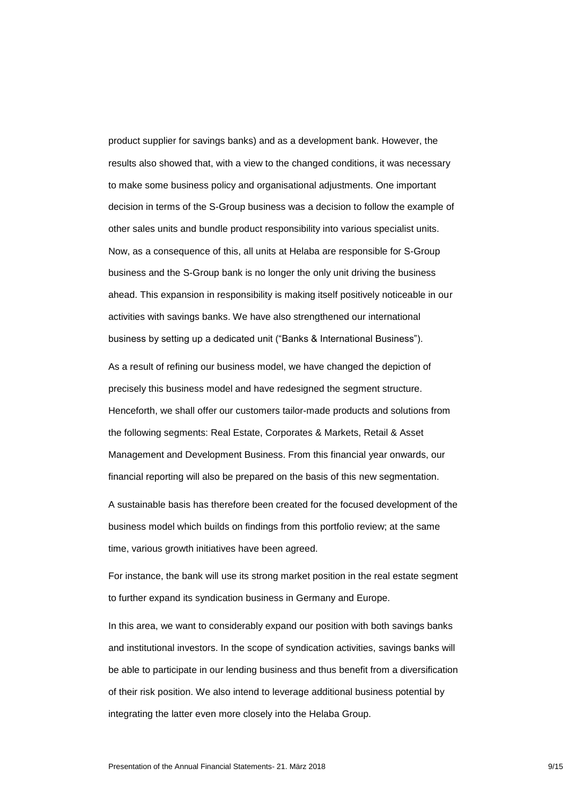product supplier for savings banks) and as a development bank. However, the results also showed that, with a view to the changed conditions, it was necessary to make some business policy and organisational adjustments. One important decision in terms of the S-Group business was a decision to follow the example of other sales units and bundle product responsibility into various specialist units. Now, as a consequence of this, all units at Helaba are responsible for S-Group business and the S-Group bank is no longer the only unit driving the business ahead. This expansion in responsibility is making itself positively noticeable in our activities with savings banks. We have also strengthened our international business by setting up a dedicated unit ("Banks & International Business").

As a result of refining our business model, we have changed the depiction of precisely this business model and have redesigned the segment structure. Henceforth, we shall offer our customers tailor-made products and solutions from the following segments: Real Estate, Corporates & Markets, Retail & Asset Management and Development Business. From this financial year onwards, our financial reporting will also be prepared on the basis of this new segmentation.

A sustainable basis has therefore been created for the focused development of the business model which builds on findings from this portfolio review; at the same time, various growth initiatives have been agreed.

For instance, the bank will use its strong market position in the real estate segment to further expand its syndication business in Germany and Europe.

In this area, we want to considerably expand our position with both savings banks and institutional investors. In the scope of syndication activities, savings banks will be able to participate in our lending business and thus benefit from a diversification of their risk position. We also intend to leverage additional business potential by integrating the latter even more closely into the Helaba Group.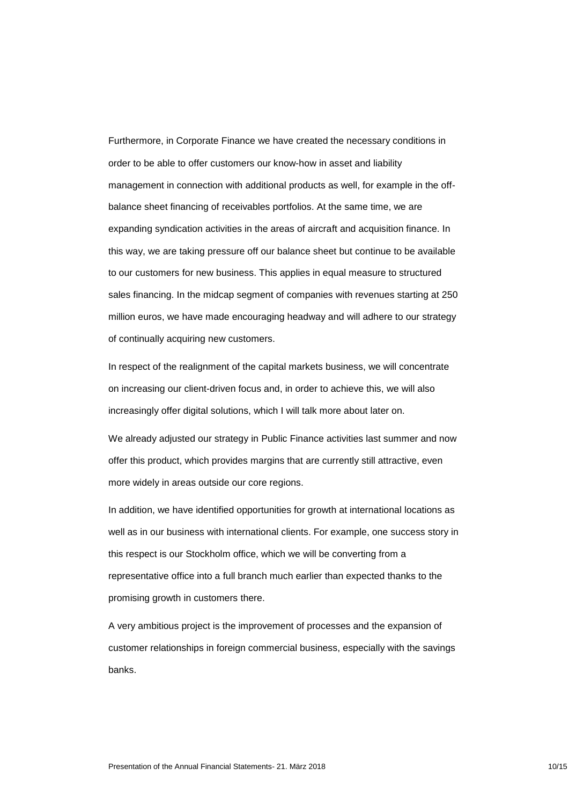Furthermore, in Corporate Finance we have created the necessary conditions in order to be able to offer customers our know-how in asset and liability management in connection with additional products as well, for example in the offbalance sheet financing of receivables portfolios. At the same time, we are expanding syndication activities in the areas of aircraft and acquisition finance. In this way, we are taking pressure off our balance sheet but continue to be available to our customers for new business. This applies in equal measure to structured sales financing. In the midcap segment of companies with revenues starting at 250 million euros, we have made encouraging headway and will adhere to our strategy of continually acquiring new customers.

In respect of the realignment of the capital markets business, we will concentrate on increasing our client-driven focus and, in order to achieve this, we will also increasingly offer digital solutions, which I will talk more about later on.

We already adjusted our strategy in Public Finance activities last summer and now offer this product, which provides margins that are currently still attractive, even more widely in areas outside our core regions.

In addition, we have identified opportunities for growth at international locations as well as in our business with international clients. For example, one success story in this respect is our Stockholm office, which we will be converting from a representative office into a full branch much earlier than expected thanks to the promising growth in customers there.

A very ambitious project is the improvement of processes and the expansion of customer relationships in foreign commercial business, especially with the savings banks.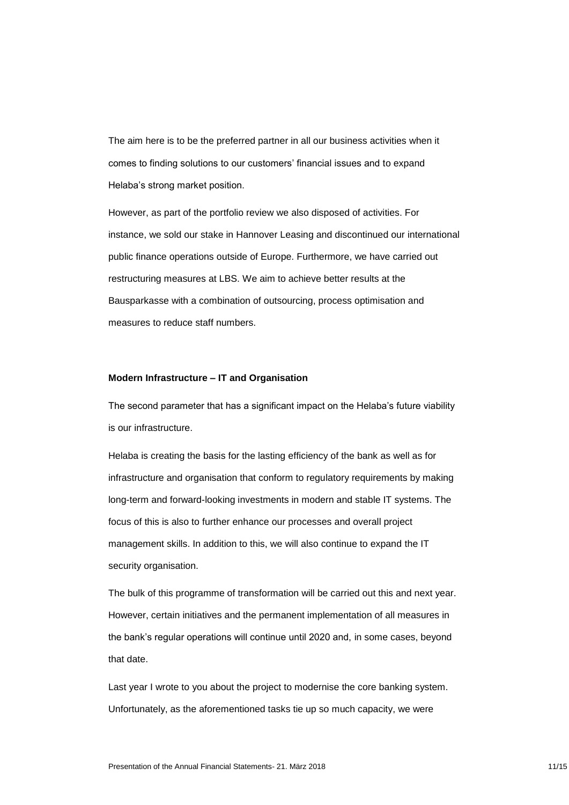The aim here is to be the preferred partner in all our business activities when it comes to finding solutions to our customers' financial issues and to expand Helaba's strong market position.

However, as part of the portfolio review we also disposed of activities. For instance, we sold our stake in Hannover Leasing and discontinued our international public finance operations outside of Europe. Furthermore, we have carried out restructuring measures at LBS. We aim to achieve better results at the Bausparkasse with a combination of outsourcing, process optimisation and measures to reduce staff numbers.

#### **Modern Infrastructure – IT and Organisation**

The second parameter that has a significant impact on the Helaba's future viability is our infrastructure.

Helaba is creating the basis for the lasting efficiency of the bank as well as for infrastructure and organisation that conform to regulatory requirements by making long-term and forward-looking investments in modern and stable IT systems. The focus of this is also to further enhance our processes and overall project management skills. In addition to this, we will also continue to expand the IT security organisation.

The bulk of this programme of transformation will be carried out this and next year. However, certain initiatives and the permanent implementation of all measures in the bank's regular operations will continue until 2020 and, in some cases, beyond that date.

Last year I wrote to you about the project to modernise the core banking system. Unfortunately, as the aforementioned tasks tie up so much capacity, we were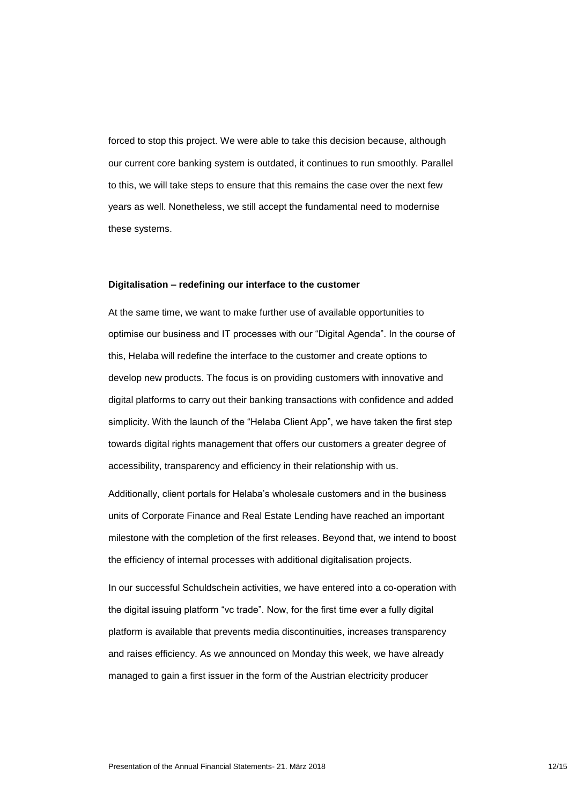forced to stop this project. We were able to take this decision because, although our current core banking system is outdated, it continues to run smoothly. Parallel to this, we will take steps to ensure that this remains the case over the next few years as well. Nonetheless, we still accept the fundamental need to modernise these systems.

#### **Digitalisation – redefining our interface to the customer**

At the same time, we want to make further use of available opportunities to optimise our business and IT processes with our "Digital Agenda". In the course of this, Helaba will redefine the interface to the customer and create options to develop new products. The focus is on providing customers with innovative and digital platforms to carry out their banking transactions with confidence and added simplicity. With the launch of the "Helaba Client App", we have taken the first step towards digital rights management that offers our customers a greater degree of accessibility, transparency and efficiency in their relationship with us.

Additionally, client portals for Helaba's wholesale customers and in the business units of Corporate Finance and Real Estate Lending have reached an important milestone with the completion of the first releases. Beyond that, we intend to boost the efficiency of internal processes with additional digitalisation projects.

In our successful Schuldschein activities, we have entered into a co-operation with the digital issuing platform "vc trade". Now, for the first time ever a fully digital platform is available that prevents media discontinuities, increases transparency and raises efficiency. As we announced on Monday this week, we have already managed to gain a first issuer in the form of the Austrian electricity producer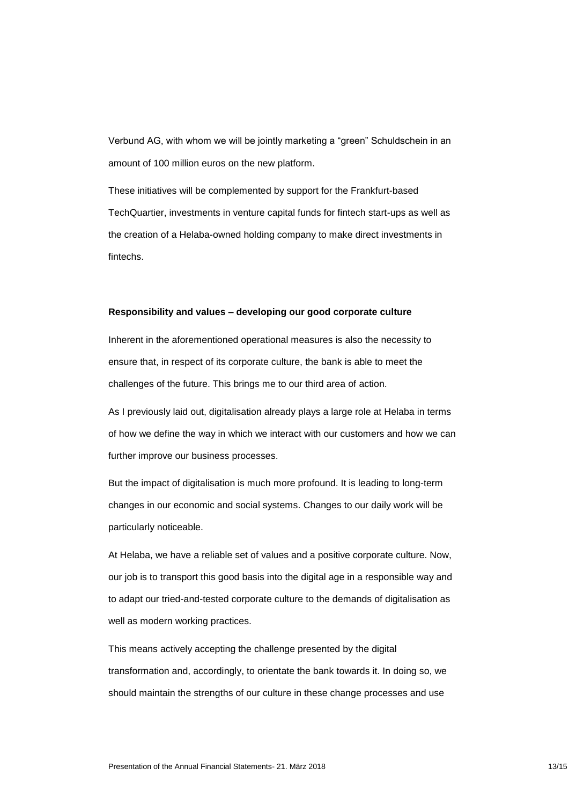Verbund AG, with whom we will be jointly marketing a "green" Schuldschein in an amount of 100 million euros on the new platform.

These initiatives will be complemented by support for the Frankfurt-based TechQuartier, investments in venture capital funds for fintech start-ups as well as the creation of a Helaba-owned holding company to make direct investments in fintechs.

### **Responsibility and values – developing our good corporate culture**

Inherent in the aforementioned operational measures is also the necessity to ensure that, in respect of its corporate culture, the bank is able to meet the challenges of the future. This brings me to our third area of action.

As I previously laid out, digitalisation already plays a large role at Helaba in terms of how we define the way in which we interact with our customers and how we can further improve our business processes.

But the impact of digitalisation is much more profound. It is leading to long-term changes in our economic and social systems. Changes to our daily work will be particularly noticeable.

At Helaba, we have a reliable set of values and a positive corporate culture. Now, our job is to transport this good basis into the digital age in a responsible way and to adapt our tried-and-tested corporate culture to the demands of digitalisation as well as modern working practices.

This means actively accepting the challenge presented by the digital transformation and, accordingly, to orientate the bank towards it. In doing so, we should maintain the strengths of our culture in these change processes and use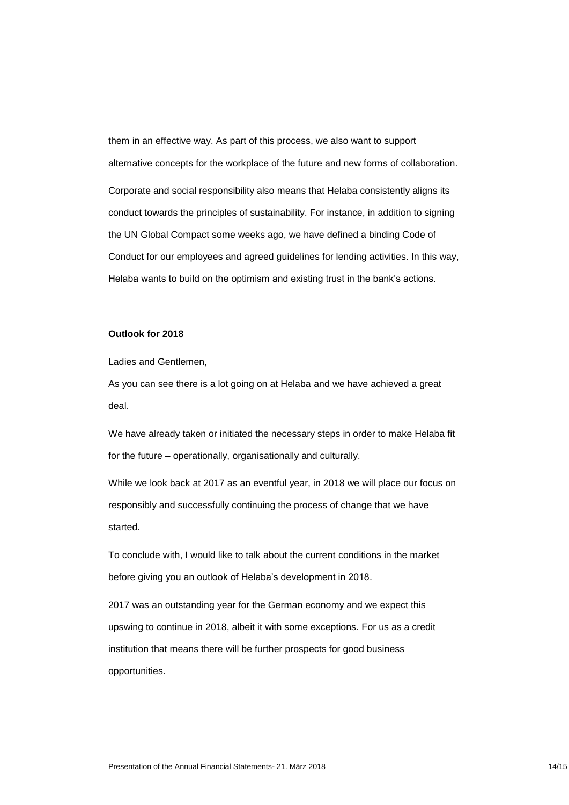them in an effective way. As part of this process, we also want to support alternative concepts for the workplace of the future and new forms of collaboration. Corporate and social responsibility also means that Helaba consistently aligns its conduct towards the principles of sustainability. For instance, in addition to signing the UN Global Compact some weeks ago, we have defined a binding Code of Conduct for our employees and agreed guidelines for lending activities. In this way, Helaba wants to build on the optimism and existing trust in the bank's actions.

# **Outlook for 2018**

Ladies and Gentlemen,

As you can see there is a lot going on at Helaba and we have achieved a great deal.

We have already taken or initiated the necessary steps in order to make Helaba fit for the future – operationally, organisationally and culturally.

While we look back at 2017 as an eventful year, in 2018 we will place our focus on responsibly and successfully continuing the process of change that we have started.

To conclude with, I would like to talk about the current conditions in the market before giving you an outlook of Helaba's development in 2018.

2017 was an outstanding year for the German economy and we expect this upswing to continue in 2018, albeit it with some exceptions. For us as a credit institution that means there will be further prospects for good business opportunities.